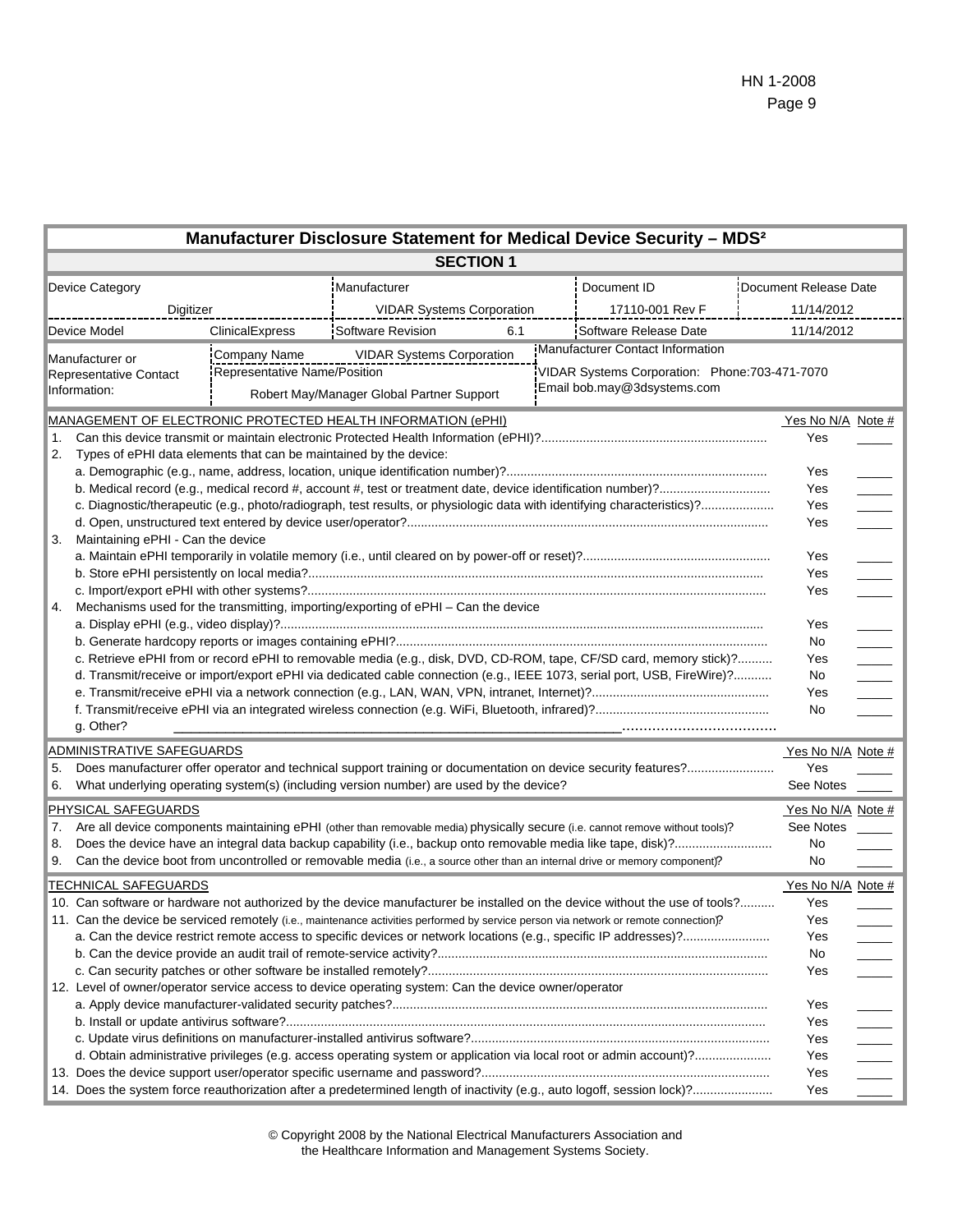|                                                           |                                                                                                                                      |                                                                                                                                                                                                                                                           | Manufacturer Disclosure Statement for Medical Device Security - MDS <sup>2</sup>                                            |                 |                       |            |                       |  |
|-----------------------------------------------------------|--------------------------------------------------------------------------------------------------------------------------------------|-----------------------------------------------------------------------------------------------------------------------------------------------------------------------------------------------------------------------------------------------------------|-----------------------------------------------------------------------------------------------------------------------------|-----------------|-----------------------|------------|-----------------------|--|
|                                                           |                                                                                                                                      |                                                                                                                                                                                                                                                           | <b>SECTION 1</b>                                                                                                            |                 |                       |            |                       |  |
|                                                           | Device Category                                                                                                                      |                                                                                                                                                                                                                                                           | Manufacturer                                                                                                                |                 | Document ID           |            | Document Release Date |  |
|                                                           |                                                                                                                                      | Digitizer<br><b>VIDAR Systems Corporation</b>                                                                                                                                                                                                             |                                                                                                                             | 17110-001 Rev F |                       | 11/14/2012 |                       |  |
| Device Model                                              |                                                                                                                                      | ClinicalExpress                                                                                                                                                                                                                                           | <b>Software Revision</b><br>6.1                                                                                             |                 | Software Release Date |            | 11/14/2012            |  |
| Manufacturer or<br>Representative Contact<br>Information: |                                                                                                                                      | Manufacturer Contact Information<br><b>VIDAR Systems Corporation</b><br><b>Company Name</b><br>VIDAR Systems Corporation: Phone: 703-471-7070<br>Representative Name/Position<br>Email bob.may@3dsystems.com<br>Robert May/Manager Global Partner Support |                                                                                                                             |                 |                       |            |                       |  |
|                                                           | MANAGEMENT OF ELECTRONIC PROTECTED HEALTH INFORMATION (ePHI)                                                                         |                                                                                                                                                                                                                                                           |                                                                                                                             |                 |                       |            | Yes No N/A Note #     |  |
| 1.<br>2.                                                  | Types of ePHI data elements that can be maintained by the device:                                                                    |                                                                                                                                                                                                                                                           |                                                                                                                             |                 |                       |            | Yes                   |  |
|                                                           |                                                                                                                                      |                                                                                                                                                                                                                                                           |                                                                                                                             |                 |                       |            | Yes                   |  |
|                                                           |                                                                                                                                      |                                                                                                                                                                                                                                                           |                                                                                                                             |                 |                       |            | Yes                   |  |
|                                                           |                                                                                                                                      |                                                                                                                                                                                                                                                           |                                                                                                                             |                 |                       |            | Yes                   |  |
|                                                           |                                                                                                                                      |                                                                                                                                                                                                                                                           |                                                                                                                             |                 |                       |            | Yes                   |  |
|                                                           | Maintaining ePHI - Can the device<br>3.                                                                                              |                                                                                                                                                                                                                                                           |                                                                                                                             |                 |                       |            |                       |  |
|                                                           |                                                                                                                                      |                                                                                                                                                                                                                                                           |                                                                                                                             |                 |                       |            | Yes                   |  |
|                                                           |                                                                                                                                      |                                                                                                                                                                                                                                                           |                                                                                                                             |                 |                       |            | Yes<br>Yes            |  |
| 4.                                                        | Mechanisms used for the transmitting, importing/exporting of ePHI - Can the device                                                   |                                                                                                                                                                                                                                                           |                                                                                                                             |                 |                       |            |                       |  |
|                                                           |                                                                                                                                      |                                                                                                                                                                                                                                                           |                                                                                                                             |                 |                       |            | Yes                   |  |
|                                                           |                                                                                                                                      |                                                                                                                                                                                                                                                           |                                                                                                                             |                 |                       |            | No                    |  |
|                                                           | c. Retrieve ePHI from or record ePHI to removable media (e.g., disk, DVD, CD-ROM, tape, CF/SD card, memory stick)?                   |                                                                                                                                                                                                                                                           |                                                                                                                             |                 |                       | Yes        |                       |  |
|                                                           | d. Transmit/receive or import/export ePHI via dedicated cable connection (e.g., IEEE 1073, serial port, USB, FireWire)?              |                                                                                                                                                                                                                                                           |                                                                                                                             |                 |                       | No         |                       |  |
|                                                           |                                                                                                                                      |                                                                                                                                                                                                                                                           |                                                                                                                             |                 |                       |            | Yes                   |  |
|                                                           |                                                                                                                                      |                                                                                                                                                                                                                                                           |                                                                                                                             |                 |                       |            | No                    |  |
|                                                           | g. Other?                                                                                                                            |                                                                                                                                                                                                                                                           |                                                                                                                             |                 |                       |            |                       |  |
|                                                           | ADMINISTRATIVE SAFEGUARDS                                                                                                            |                                                                                                                                                                                                                                                           |                                                                                                                             |                 |                       |            | Yes No N/A Note #     |  |
| 5.                                                        |                                                                                                                                      | Does manufacturer offer operator and technical support training or documentation on device security features?                                                                                                                                             |                                                                                                                             |                 |                       | Yes        |                       |  |
| 6.                                                        |                                                                                                                                      |                                                                                                                                                                                                                                                           | What underlying operating system(s) (including version number) are used by the device?                                      |                 |                       |            | See Notes             |  |
|                                                           | PHYSICAL SAFEGUARDS                                                                                                                  |                                                                                                                                                                                                                                                           |                                                                                                                             |                 |                       |            | Yes No N/A Note #     |  |
| 7.                                                        | Are all device components maintaining ePHI (other than removable media) physically secure (i.e. cannot remove without tools)?        |                                                                                                                                                                                                                                                           |                                                                                                                             |                 |                       | See Notes  |                       |  |
| 8.                                                        |                                                                                                                                      |                                                                                                                                                                                                                                                           |                                                                                                                             |                 |                       | No         |                       |  |
| 9.                                                        |                                                                                                                                      |                                                                                                                                                                                                                                                           | Can the device boot from uncontrolled or removable media (i.e., a source other than an internal drive or memory component)? |                 |                       |            | No                    |  |
|                                                           | <b>TECHNICAL SAFEGUARDS</b>                                                                                                          |                                                                                                                                                                                                                                                           |                                                                                                                             |                 |                       |            | Yes No N/A Note #     |  |
|                                                           |                                                                                                                                      |                                                                                                                                                                                                                                                           | 10. Can software or hardware not authorized by the device manufacturer be installed on the device without the use of tools? |                 |                       |            | Yes                   |  |
|                                                           | 11. Can the device be serviced remotely (i.e., maintenance activities performed by service person via network or remote connection)? |                                                                                                                                                                                                                                                           |                                                                                                                             |                 |                       |            | Yes                   |  |
|                                                           |                                                                                                                                      |                                                                                                                                                                                                                                                           |                                                                                                                             |                 |                       |            | Yes                   |  |
|                                                           |                                                                                                                                      |                                                                                                                                                                                                                                                           |                                                                                                                             |                 |                       |            | No                    |  |
|                                                           |                                                                                                                                      |                                                                                                                                                                                                                                                           |                                                                                                                             |                 |                       |            | Yes                   |  |
|                                                           |                                                                                                                                      |                                                                                                                                                                                                                                                           | 12. Level of owner/operator service access to device operating system: Can the device owner/operator                        |                 |                       |            |                       |  |
|                                                           |                                                                                                                                      |                                                                                                                                                                                                                                                           |                                                                                                                             |                 |                       |            | Yes<br>Yes            |  |
|                                                           |                                                                                                                                      |                                                                                                                                                                                                                                                           |                                                                                                                             |                 |                       |            | Yes                   |  |
|                                                           | d. Obtain administrative privileges (e.g. access operating system or application via local root or admin account)?                   |                                                                                                                                                                                                                                                           |                                                                                                                             |                 |                       |            | Yes                   |  |
|                                                           |                                                                                                                                      |                                                                                                                                                                                                                                                           |                                                                                                                             |                 |                       |            | Yes                   |  |
|                                                           |                                                                                                                                      |                                                                                                                                                                                                                                                           |                                                                                                                             |                 |                       |            | Yes                   |  |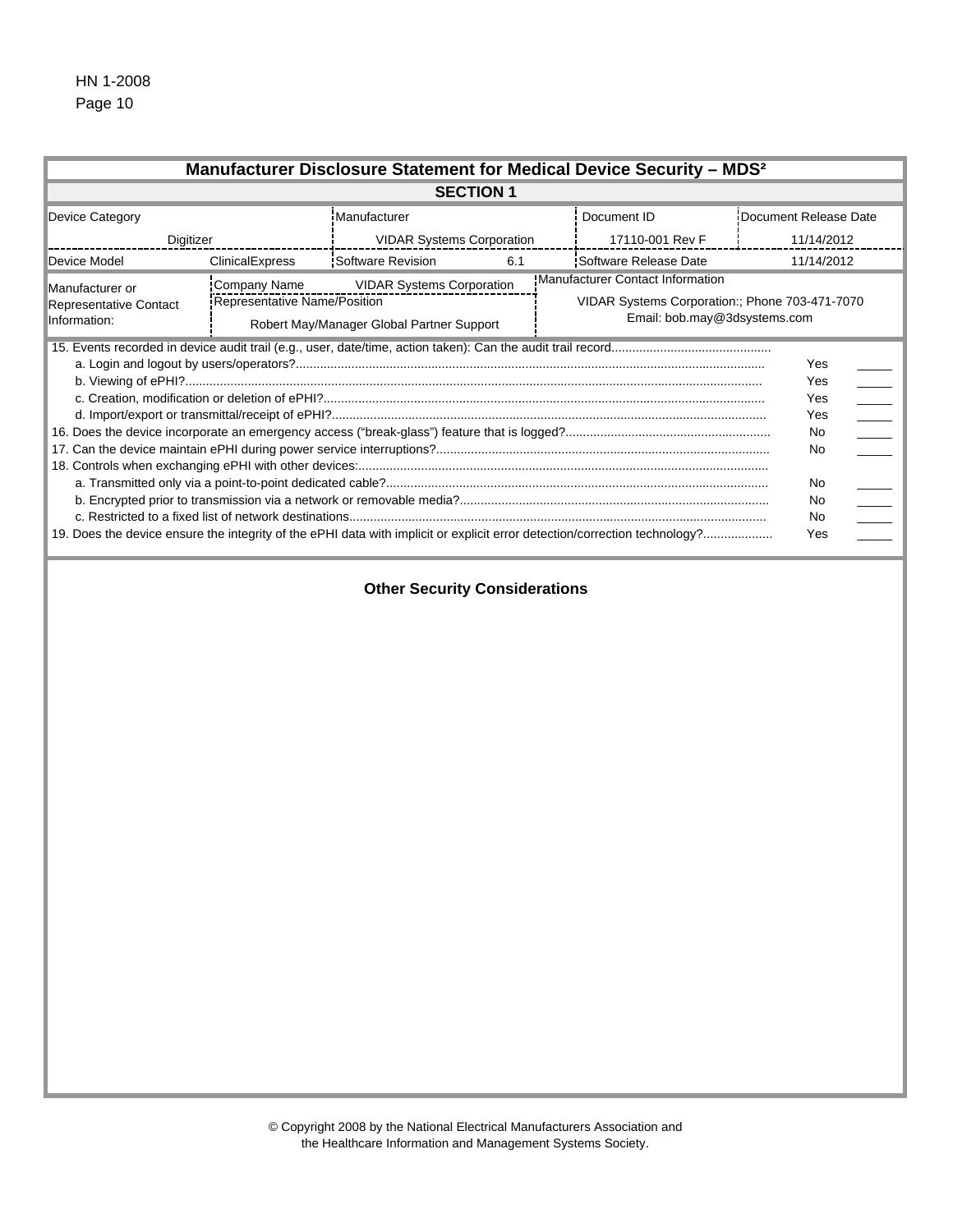|                                                           |                                                     | Manufacturer Disclosure Statement for Medical Device Security - MDS <sup>2</sup> |                                  |                                                                                                                                         |  |  |
|-----------------------------------------------------------|-----------------------------------------------------|----------------------------------------------------------------------------------|----------------------------------|-----------------------------------------------------------------------------------------------------------------------------------------|--|--|
|                                                           |                                                     | <b>SECTION 1</b>                                                                 |                                  |                                                                                                                                         |  |  |
| Device Category                                           |                                                     | Manufacturer                                                                     | Document ID                      | Document Release Date                                                                                                                   |  |  |
| Digitizer                                                 |                                                     | <b>VIDAR Systems Corporation</b>                                                 | 17110-001 Rev F                  | 11/14/2012                                                                                                                              |  |  |
| Device Model                                              | <b>ClinicalExpress</b>                              | <b>Software Revision</b><br>6.1                                                  | Software Release Date            | 11/14/2012                                                                                                                              |  |  |
| Manufacturer or<br>Representative Contact<br>Information: | <b>Company Name</b><br>Representative Name/Position | <b>VIDAR Systems Corporation</b><br>Robert May/Manager Global Partner Support    | Manufacturer Contact Information | VIDAR Systems Corporation:; Phone 703-471-7070<br>Email: bob.may@3dsystems.com                                                          |  |  |
|                                                           |                                                     | <b>Other Security Considerations</b>                                             |                                  | Yes<br>Yes<br>Yes<br>Yes<br>$\overline{\phantom{a}}$<br>No<br>$\overline{a}$<br>No<br>No<br>$\overline{\phantom{a}}$<br>No<br>No<br>Yes |  |  |